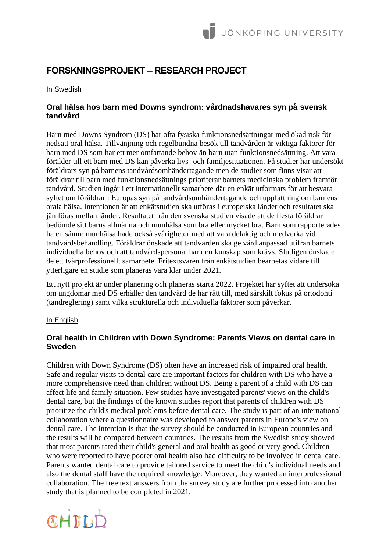# **FORSKNINGSPROJEKT – RESEARCH PROJECT**

In Swedish

# **Oral hälsa hos barn med Downs syndrom: vårdnadshavares syn på svensk tandvård**

Barn med Downs Syndrom (DS) har ofta fysiska funktionsnedsättningar med ökad risk för nedsatt oral hälsa. Tillvänjning och regelbundna besök till tandvården är viktiga faktorer för barn med DS som har ett mer omfattande behov än barn utan funktionsnedsättning. Att vara förälder till ett barn med DS kan påverka livs- och familjesituationen. Få studier har undersökt föräldrars syn på barnens tandvårdsomhändertagande men de studier som finns visar att föräldrar till barn med funktionsnedsättnings prioriterar barnets medicinska problem framför tandvård. Studien ingår i ett internationellt samarbete där en enkät utformats för att besvara syftet om föräldrar i Europas syn på tandvårdsomhändertagande och uppfattning om barnens orala hälsa. Intentionen är att enkätstudien ska utföras i europeiska länder och resultatet ska jämföras mellan länder. Resultatet från den svenska studien visade att de flesta föräldrar bedömde sitt barns allmänna och munhälsa som bra eller mycket bra. Barn som rapporterades ha en sämre munhälsa hade också svårigheter med att vara delaktig och medverka vid tandvårdsbehandling. Föräldrar önskade att tandvården ska ge vård anpassad utifrån barnets individuella behov och att tandvårdspersonal har den kunskap som krävs. Slutligen önskade de ett tvärprofessionellt samarbete. Fritextsvaren från enkätstudien bearbetas vidare till ytterligare en studie som planeras vara klar under 2021.

Ett nytt projekt är under planering och planeras starta 2022. Projektet har syftet att undersöka om ungdomar med DS erhåller den tandvård de har rätt till, med särskilt fokus på ortodonti (tandreglering) samt vilka strukturella och individuella faktorer som påverkar.

#### In English

## **Oral health in Children with Down Syndrome: Parents Views on dental care in Sweden**

Children with Down Syndrome (DS) often have an increased risk of impaired oral health. Safe and regular visits to dental care are important factors for children with DS who have a more comprehensive need than children without DS. Being a parent of a child with DS can affect life and family situation. Few studies have investigated parents' views on the child's dental care, but the findings of the known studies report that parents of children with DS prioritize the child's medical problems before dental care. The study is part of an international collaboration where a questionnaire was developed to answer parents in Europe's view on dental care. The intention is that the survey should be conducted in European countries and the results will be compared between countries. The results from the Swedish study showed that most parents rated their child's general and oral health as good or very good. Children who were reported to have poorer oral health also had difficulty to be involved in dental care. Parents wanted dental care to provide tailored service to meet the child's individual needs and also the dental staff have the required knowledge. Moreover, they wanted an interprofessional collaboration. The free text answers from the survey study are further processed into another study that is planned to be completed in 2021.